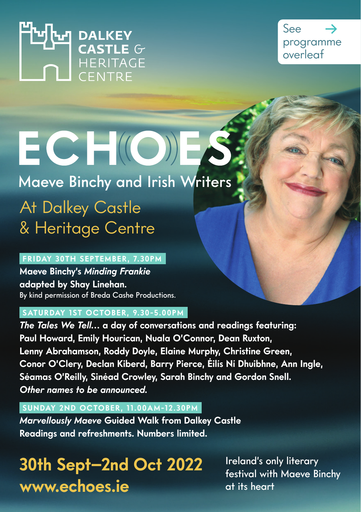THILL DALKEY



# ECHOES Maeve Binchy and Irish Writers At Dalkey Castle

& Heritage Centre

## **FRIDAY 30TH SEPTEMBER, 7.30PM**

**Maeve Binchy's** *Minding Frankie* **adapted by Shay Linehan.** By kind permission of Breda Cashe Productions.

## **SATURDAY 1ST OCTOBER, 9.30-5.00PM**

*The Tales We Tell…* **a day of conversations and readings featuring: Paul Howard, Emily Hourican, Nuala O'Connor, Dean Ruxton, Lenny Abrahamson, Roddy Doyle, Elaine Murphy, Christine Green, Conor O'Clery, Declan Kiberd, Barry Pierce, Éilís Ní Dhuibhne, Ann Ingle, Séamas O'Reilly, Sinéad Crowley, Sarah Binchy and Gordon Snell.**  *Other names to be announced.*

## **SUNDAY 2ND OCTOBER, 11.00AM-12.30PM**

*Marvellously Maeve* **Guided Walk from Dalkey Castle Readings and refreshments. Numbers limited.**

## **30th Sept–2nd Oct 2022 www.echoes.ie**

Ireland's only literary festival with Maeve Binchy at its heart